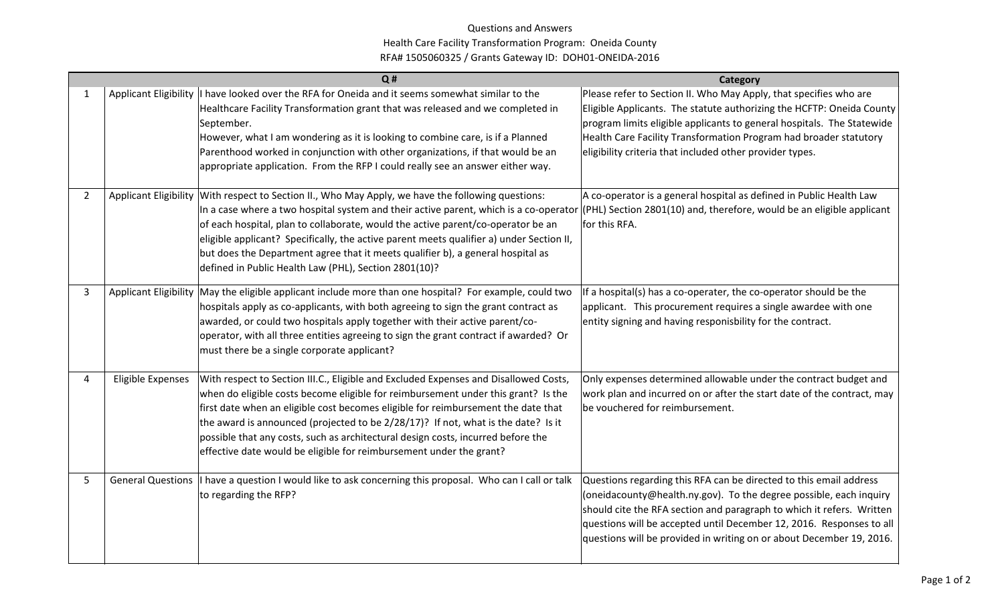## Questions and Answers Health Care Facility Transformation Program: Oneida County RFA# 1505060325 / Grants Gateway ID: DOH01-ONEIDA-2016

|                |                   | Q#                                                                                                                                                                                                                                                                                                                                                                                                                                                                                                                      | Category                                                                                                                                                                                                                                                                                                                                                          |
|----------------|-------------------|-------------------------------------------------------------------------------------------------------------------------------------------------------------------------------------------------------------------------------------------------------------------------------------------------------------------------------------------------------------------------------------------------------------------------------------------------------------------------------------------------------------------------|-------------------------------------------------------------------------------------------------------------------------------------------------------------------------------------------------------------------------------------------------------------------------------------------------------------------------------------------------------------------|
| 1              |                   | Applicant Eligibility   I have looked over the RFA for Oneida and it seems somewhat similar to the<br>Healthcare Facility Transformation grant that was released and we completed in<br>September.<br>However, what I am wondering as it is looking to combine care, is if a Planned<br>Parenthood worked in conjunction with other organizations, if that would be an<br>appropriate application. From the RFP I could really see an answer either way.                                                                | Please refer to Section II. Who May Apply, that specifies who are<br>Eligible Applicants. The statute authorizing the HCFTP: Oneida County<br>program limits eligible applicants to general hospitals. The Statewide<br>Health Care Facility Transformation Program had broader statutory<br>eligibility criteria that included other provider types.             |
| $\overline{2}$ |                   | Applicant Eligibility With respect to Section II., Who May Apply, we have the following questions:<br>In a case where a two hospital system and their active parent, which is a co-operator<br>of each hospital, plan to collaborate, would the active parent/co-operator be an<br>eligible applicant? Specifically, the active parent meets qualifier a) under Section II,<br>but does the Department agree that it meets qualifier b), a general hospital as<br>defined in Public Health Law (PHL), Section 2801(10)? | A co-operator is a general hospital as defined in Public Health Law<br>(PHL) Section 2801(10) and, therefore, would be an eligible applicant<br>for this RFA.                                                                                                                                                                                                     |
| 3              |                   | Applicant Eligibility May the eligible applicant include more than one hospital? For example, could two<br>hospitals apply as co-applicants, with both agreeing to sign the grant contract as<br>awarded, or could two hospitals apply together with their active parent/co-<br>operator, with all three entities agreeing to sign the grant contract if awarded? Or<br>must there be a single corporate applicant?                                                                                                     | If a hospital(s) has a co-operater, the co-operator should be the<br>applicant. This procurement requires a single awardee with one<br>entity signing and having responisbility for the contract.                                                                                                                                                                 |
| 4              | Eligible Expenses | With respect to Section III.C., Eligible and Excluded Expenses and Disallowed Costs,<br>when do eligible costs become eligible for reimbursement under this grant? Is the<br>first date when an eligible cost becomes eligible for reimbursement the date that<br>the award is announced (projected to be 2/28/17)? If not, what is the date? Is it<br>possible that any costs, such as architectural design costs, incurred before the<br>effective date would be eligible for reimbursement under the grant?          | Only expenses determined allowable under the contract budget and<br>work plan and incurred on or after the start date of the contract, may<br>be vouchered for reimbursement.                                                                                                                                                                                     |
| 5              |                   | General Questions   I have a question I would like to ask concerning this proposal. Who can I call or talk<br>to regarding the RFP?                                                                                                                                                                                                                                                                                                                                                                                     | Questions regarding this RFA can be directed to this email address<br>(oneidacounty@health.ny.gov). To the degree possible, each inquiry<br>should cite the RFA section and paragraph to which it refers. Written<br>questions will be accepted until December 12, 2016. Responses to all<br>questions will be provided in writing on or about December 19, 2016. |